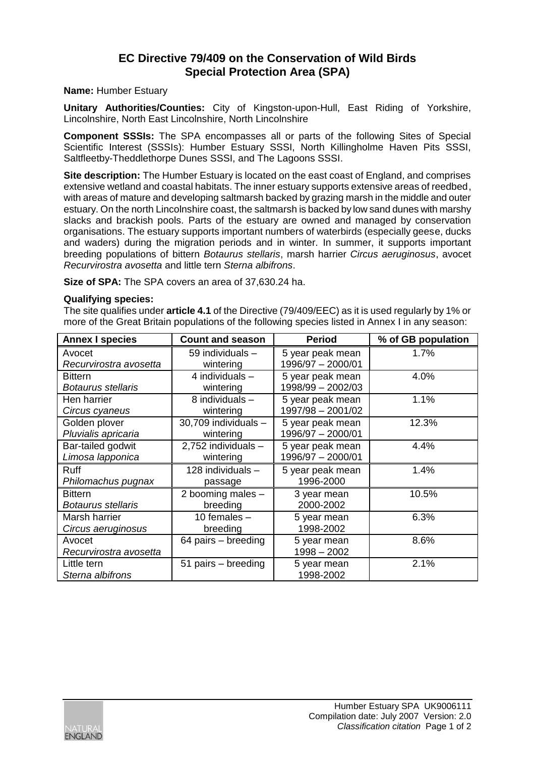## **EC Directive 79/409 on the Conservation of Wild Birds Special Protection Area (SPA)**

**Name:** Humber Estuary

**Unitary Authorities/Counties:** City of Kingston-upon-Hull, East Riding of Yorkshire, Lincolnshire, North East Lincolnshire, North Lincolnshire

**Component SSSIs:** The SPA encompasses all or parts of the following Sites of Special Scientific Interest (SSSIs): Humber Estuary SSSI, North Killingholme Haven Pits SSSI, Saltfleetby-Theddlethorpe Dunes SSSI, and The Lagoons SSSI.

**Site description:** The Humber Estuary is located on the east coast of England, and comprises extensive wetland and coastal habitats. The inner estuary supports extensive areas of reedbed, with areas of mature and developing saltmarsh backed by grazing marsh in the middle and outer estuary. On the north Lincolnshire coast, the saltmarsh is backed by low sand dunes with marshy slacks and brackish pools. Parts of the estuary are owned and managed by conservation organisations. The estuary supports important numbers of waterbirds (especially geese, ducks and waders) during the migration periods and in winter. In summer, it supports important breeding populations of bittern *Botaurus stellaris*, marsh harrier *Circus aeruginosus*, avocet *Recurvirostra avosetta* and little tern *Sterna albifrons*.

**Size of SPA:** The SPA covers an area of 37,630.24 ha.

## **Qualifying species:**

The site qualifies under **article 4.1** of the Directive (79/409/EEC) as it is used regularly by 1% or more of the Great Britain populations of the following species listed in Annex I in any season:

| <b>Annex I species</b>    | <b>Count and season</b> | <b>Period</b>     | % of GB population |
|---------------------------|-------------------------|-------------------|--------------------|
| Avocet                    | 59 individuals -        | 5 year peak mean  | 1.7%               |
| Recurvirostra avosetta    | wintering               | 1996/97 - 2000/01 |                    |
| <b>Bittern</b>            | 4 individuals $-$       | 5 year peak mean  | 4.0%               |
| <b>Botaurus stellaris</b> | wintering               | 1998/99 - 2002/03 |                    |
| Hen harrier               | 8 individuals -         | 5 year peak mean  | 1.1%               |
| Circus cyaneus            | wintering               | 1997/98 - 2001/02 |                    |
| Golden plover             | 30,709 individuals -    | 5 year peak mean  | 12.3%              |
| Pluvialis apricaria       | wintering               | 1996/97 - 2000/01 |                    |
| Bar-tailed godwit         | 2,752 individuals -     | 5 year peak mean  | 4.4%               |
| Limosa lapponica          | wintering               | 1996/97 - 2000/01 |                    |
| Ruff                      | 128 individuals -       | 5 year peak mean  | 1.4%               |
| Philomachus pugnax        | passage                 | 1996-2000         |                    |
| <b>Bittern</b>            | 2 booming males -       | 3 year mean       | 10.5%              |
| <b>Botaurus stellaris</b> | breeding                | 2000-2002         |                    |
| Marsh harrier             | 10 females $-$          | 5 year mean       | 6.3%               |
| Circus aeruginosus        | breeding                | 1998-2002         |                    |
| Avocet                    | 64 pairs – breeding     | 5 year mean       | 8.6%               |
| Recurvirostra avosetta    |                         | $1998 - 2002$     |                    |
| Little tern               | 51 pairs - breeding     | 5 year mean       | 2.1%               |
| Sterna albifrons          |                         | 1998-2002         |                    |